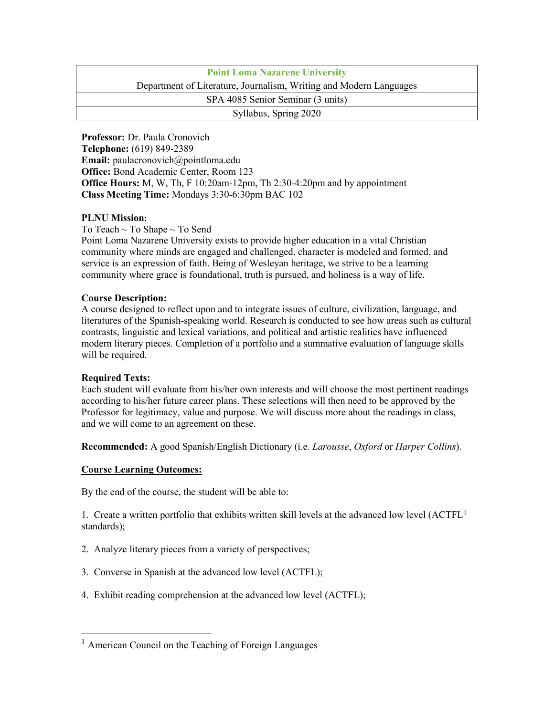| <b>Point Loma Nazarene University</b>                              |  |  |
|--------------------------------------------------------------------|--|--|
| Department of Literature, Journalism, Writing and Modern Languages |  |  |
| SPA 4085 Senior Seminar (3 units)                                  |  |  |
| Syllabus, Spring 2020                                              |  |  |

**Professor:** Dr. Paula Cronovich **Telephone:** (619) 849-2389 **Email:** paulacronovich@pointloma.edu **Office:** Bond Academic Center, Room 123 **Office Hours:** M, W, Th, F 10:20am-12pm, Th 2:30-4:20pm and by appointment **Class Meeting Time:** Mondays 3:30-6:30pm BAC 102

## **PLNU Mission**:

To Teach ~ To Shape ~ To Send

Point Loma Nazarene University exists to provide higher education in a vital Christian community where minds are engaged and challenged, character is modeled and formed, and service is an expression of faith. Being of Wesleyan heritage, we strive to be a learning community where grace is foundational, truth is pursued, and holiness is a way of life.

#### **Course Description:**

A course designed to reflect upon and to integrate issues of culture, civilization, language, and literatures of the Spanish-speaking world. Research is conducted to see how areas such as cultural contrasts, linguistic and lexical variations, and political and artistic realities have influenced modern literary pieces. Completion of a portfolio and a summative evaluation of language skills will be required.

## **Required Texts:**

Each student will evaluate from his/her own interests and will choose the most pertinent readings according to his/her future career plans. These selections will then need to be approved by the Professor for legitimacy, value and purpose. We will discuss more about the readings in class, and we will come to an agreement on these.

**Recommended:** A good Spanish/English Dictionary (i.e. *Larousse*, *Oxford* or *Harper Collins*).

## **Course Learning Outcomes:**

By the end of the course, the student will be able to:

[1](#page-0-0). Create a written portfolio that exhibits written skill levels at the advanced low level  $(ACTFL<sup>1</sup>)$ standards);

- 2. Analyze literary pieces from a variety of perspectives;
- 3. Converse in Spanish at the advanced low level (ACTFL);
- 4. Exhibit reading comprehension at the advanced low level (ACTFL);

<span id="page-0-0"></span><sup>&</sup>lt;sup>1</sup> American Council on the Teaching of Foreign Languages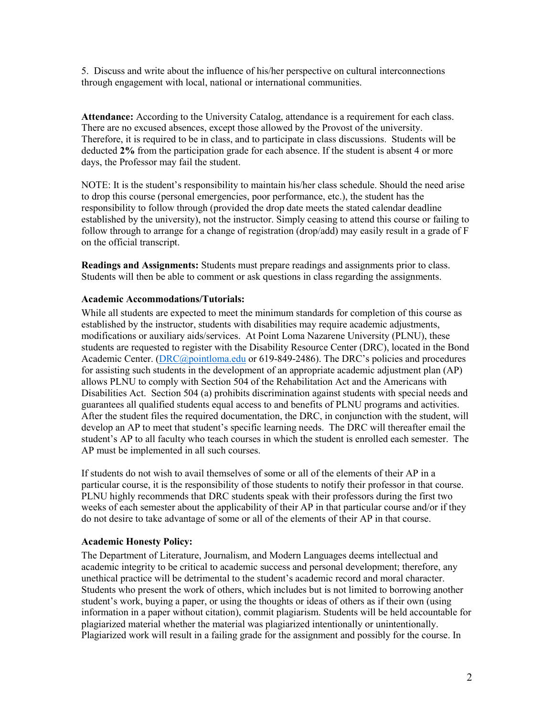5. Discuss and write about the influence of his/her perspective on cultural interconnections through engagement with local, national or international communities.

**Attendance:** According to the University Catalog, attendance is a requirement for each class. There are no excused absences, except those allowed by the Provost of the university. Therefore, it is required to be in class, and to participate in class discussions. Students will be deducted **2%** from the participation grade for each absence. If the student is absent 4 or more days, the Professor may fail the student.

NOTE: It is the student's responsibility to maintain his/her class schedule. Should the need arise to drop this course (personal emergencies, poor performance, etc.), the student has the responsibility to follow through (provided the drop date meets the stated calendar deadline established by the university), not the instructor. Simply ceasing to attend this course or failing to follow through to arrange for a change of registration (drop/add) may easily result in a grade of F on the official transcript.

**Readings and Assignments:** Students must prepare readings and assignments prior to class. Students will then be able to comment or ask questions in class regarding the assignments.

## **Academic Accommodations/Tutorials:**

While all students are expected to meet the minimum standards for completion of this course as established by the instructor, students with disabilities may require academic adjustments, modifications or auxiliary aids/services. At Point Loma Nazarene University (PLNU), these students are requested to register with the Disability Resource Center (DRC), located in the Bond Academic Center. [\(DRC@pointloma.edu](mailto:DRC@pointloma.edu) or 619-849-2486). The DRC's policies and procedures for assisting such students in the development of an appropriate academic adjustment plan (AP) allows PLNU to comply with Section 504 of the Rehabilitation Act and the Americans with Disabilities Act. Section 504 (a) prohibits discrimination against students with special needs and guarantees all qualified students equal access to and benefits of PLNU programs and activities. After the student files the required documentation, the DRC, in conjunction with the student, will develop an AP to meet that student's specific learning needs. The DRC will thereafter email the student's AP to all faculty who teach courses in which the student is enrolled each semester. The AP must be implemented in all such courses.

If students do not wish to avail themselves of some or all of the elements of their AP in a particular course, it is the responsibility of those students to notify their professor in that course. PLNU highly recommends that DRC students speak with their professors during the first two weeks of each semester about the applicability of their AP in that particular course and/or if they do not desire to take advantage of some or all of the elements of their AP in that course.

## **Academic Honesty Policy:**

The Department of Literature, Journalism, and Modern Languages deems intellectual and academic integrity to be critical to academic success and personal development; therefore, any unethical practice will be detrimental to the student's academic record and moral character. Students who present the work of others, which includes but is not limited to borrowing another student's work, buying a paper, or using the thoughts or ideas of others as if their own (using information in a paper without citation), commit plagiarism. Students will be held accountable for plagiarized material whether the material was plagiarized intentionally or unintentionally. Plagiarized work will result in a failing grade for the assignment and possibly for the course. In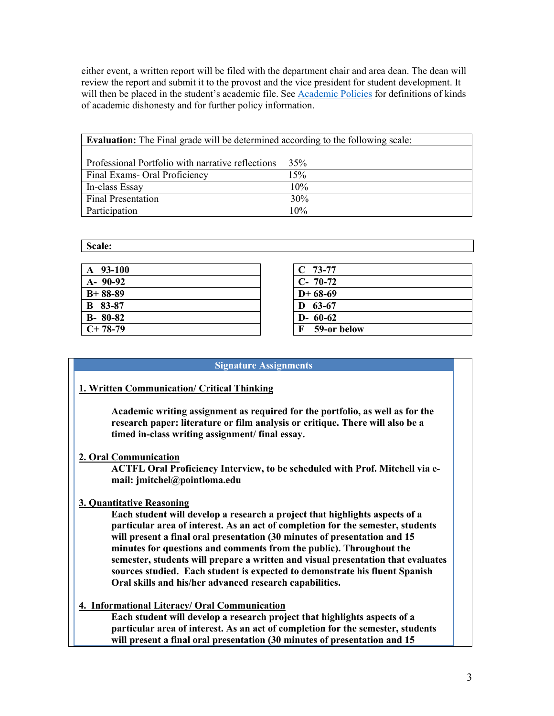either event, a written report will be filed with the department chair and area dean. The dean will review the report and submit it to the provost and the vice president for student development. It will then be placed in the student's academic file. See [Academic Policies](http://catalog.pointloma.edu/content.php?catoid=18&navoid=1278) for definitions of kinds of academic dishonesty and for further policy information.

| <b>Evaluation:</b> The Final grade will be determined according to the following scale: |     |
|-----------------------------------------------------------------------------------------|-----|
|                                                                                         |     |
| Professional Portfolio with narrative reflections                                       | 35% |
| Final Exams- Oral Proficiency                                                           | 15% |
| In-class Essay                                                                          | 10% |
| <b>Final Presentation</b>                                                               | 30% |
| Participation                                                                           | 10% |

**Scale:**

| $A$ 93-100     | $C$ 73-77        |
|----------------|------------------|
| $A - 90-92$    | $C-70-72$        |
| $B+88-89$      | $D+68-69$        |
| <b>B</b> 83-87 | 63-67<br>D       |
| $B - 80 - 82$  | $D - 60 - 62$    |
| $C+78-79$      | F<br>59-or below |
|                |                  |

#### **Signature Assignments**

## **1. Written Communication/ Critical Thinking**

**Academic writing assignment as required for the portfolio, as well as for the research paper: literature or film analysis or critique. There will also be a timed in-class writing assignment/ final essay.**

## **2. Oral Communication**

**ACTFL Oral Proficiency Interview, to be scheduled with Prof. Mitchell via email: jmitchel@pointloma.edu**

## **3. Quantitative Reasoning**

**Each student will develop a research a project that highlights aspects of a particular area of interest. As an act of completion for the semester, students will present a final oral presentation (30 minutes of presentation and 15 minutes for questions and comments from the public). Throughout the semester, students will prepare a written and visual presentation that evaluates sources studied. Each student is expected to demonstrate his fluent Spanish Oral skills and his/her advanced research capabilities.**

## **4. Informational Literacy/ Oral Communication**

**Each student will develop a research project that highlights aspects of a particular area of interest. As an act of completion for the semester, students will present a final oral presentation (30 minutes of presentation and 15**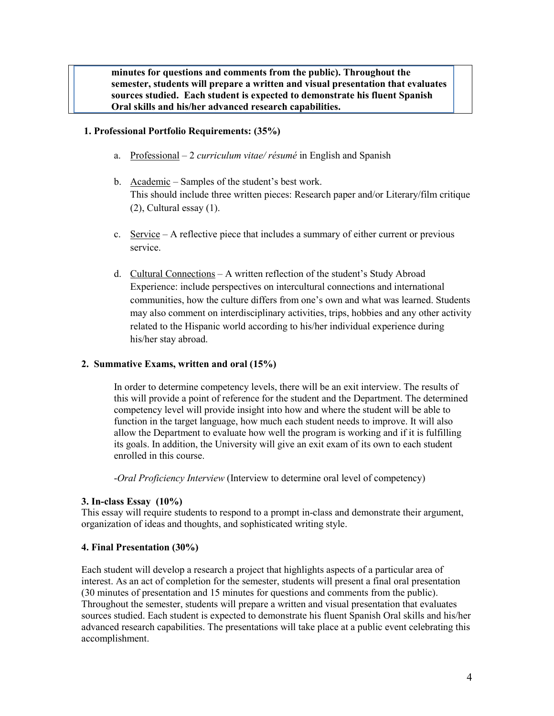**minutes for questions and comments from the public). Throughout the semester, students will prepare a written and visual presentation that evaluates sources studied. Each student is expected to demonstrate his fluent Spanish Oral skills and his/her advanced research capabilities.**

#### **1. Professional Portfolio Requirements: (35%)**

- a. Professional 2 *curriculum vitae/ résumé* in English and Spanish
- b. Academic Samples of the student's best work. This should include three written pieces: Research paper and/or Literary/film critique (2), Cultural essay (1).
- c. Service A reflective piece that includes a summary of either current or previous service.
- d. Cultural Connections A written reflection of the student's Study Abroad Experience: include perspectives on intercultural connections and international communities, how the culture differs from one's own and what was learned. Students may also comment on interdisciplinary activities, trips, hobbies and any other activity related to the Hispanic world according to his/her individual experience during his/her stay abroad.

#### **2. Summative Exams, written and oral (15%)**

In order to determine competency levels, there will be an exit interview. The results of this will provide a point of reference for the student and the Department. The determined competency level will provide insight into how and where the student will be able to function in the target language, how much each student needs to improve. It will also allow the Department to evaluate how well the program is working and if it is fulfilling its goals. In addition, the University will give an exit exam of its own to each student enrolled in this course.

-*Oral Proficiency Interview* (Interview to determine oral level of competency)

#### **3. In-class Essay (10%)**

This essay will require students to respond to a prompt in-class and demonstrate their argument, organization of ideas and thoughts, and sophisticated writing style.

#### **4. Final Presentation (30%)**

Each student will develop a research a project that highlights aspects of a particular area of interest. As an act of completion for the semester, students will present a final oral presentation (30 minutes of presentation and 15 minutes for questions and comments from the public). Throughout the semester, students will prepare a written and visual presentation that evaluates sources studied. Each student is expected to demonstrate his fluent Spanish Oral skills and his/her advanced research capabilities. The presentations will take place at a public event celebrating this accomplishment.